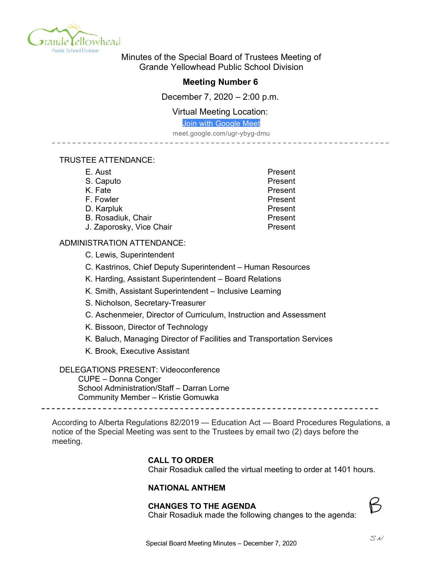

Minutes of the Special Board of Trustees Meeting of Grande Yellowhead Public School Division

# **Meeting Number 6**

December 7, 2020 – 2:00 p.m.

Virtual Meeting Location:

Join with Google Meet

meet.google.com/ugr-ybyg-dmu

### TRUSTEE ATTENDANCE:

| E. Aust                  | Present |
|--------------------------|---------|
| S. Caputo                | Present |
| K. Fate                  | Present |
| F. Fowler                | Present |
| D. Karpluk               | Present |
| B. Rosadiuk, Chair       | Present |
| J. Zaporosky, Vice Chair | Present |

## ADMINISTRATION ATTENDANCE:

C. Lewis, Superintendent

C. Kastrinos, Chief Deputy Superintendent – Human Resources

K. Harding, Assistant Superintendent – Board Relations

- K. Smith, Assistant Superintendent Inclusive Learning
- S. Nicholson, Secretary-Treasurer
- C. Aschenmeier, Director of Curriculum, Instruction and Assessment
- K. Bissoon, Director of Technology
- K. Baluch, Managing Director of Facilities and Transportation Services
- K. Brook, Executive Assistant

### DELEGATIONS PRESENT: Videoconference

CUPE – Donna Conger School Administration/Staff – Darran Lorne Community Member – Kristie Gomuwka

According to Alberta Regulations 82/2019 — Education Act — Board Procedures Regulations, a notice of the Special Meeting was sent to the Trustees by email two (2) days before the meeting.

### **CALL TO ORDER**

Chair Rosadiuk called the virtual meeting to order at 1401 hours.

### **NATIONAL ANTHEM**

### **CHANGES TO THE AGENDA**



Chair Rosadiuk made the following changes to the agenda: